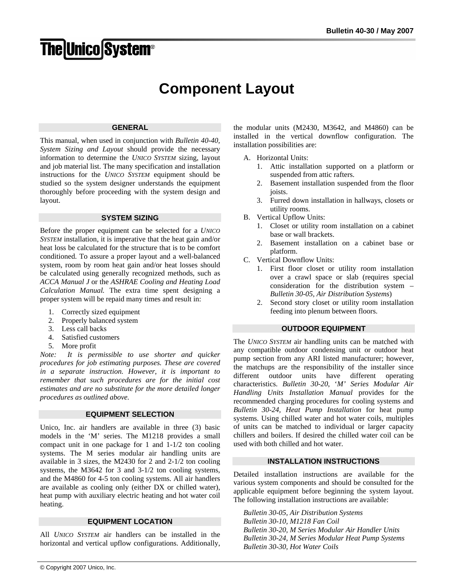# **The Unico System®**

# **Component Layout**

#### **GENERAL**

This manual, when used in conjunction with *Bulletin 40-40, System Sizing and Layout* should provide the necessary information to determine the *UNICO SYSTEM* sizing, layout and job material list. The many specification and installation instructions for the *UNICO SYSTEM* equipment should be studied so the system designer understands the equipment thoroughly before proceeding with the system design and layout.

#### **SYSTEM SIZING**

Before the proper equipment can be selected for a *UNICO SYSTEM* installation, it is imperative that the heat gain and/or heat loss be calculated for the structure that is to be comfort conditioned. To assure a proper layout and a well-balanced system, room by room heat gain and/or heat losses should be calculated using generally recognized methods, such as *ACCA Manual J* or the *ASHRAE Cooling and Heating Load Calculation Manual.* The extra time spent designing a proper system will be repaid many times and result in:

- 1. Correctly sized equipment
- 2. Properly balanced system
- 3. Less call backs
- 4. Satisfied customers
- 5. More profit

*Note: It is permissible to use shorter and quicker procedures for job estimating purposes. These are covered in a separate instruction. However, it is important to remember that such procedures are for the initial cost estimates and are no substitute for the more detailed longer procedures as outlined above.* 

# **EQUIPMENT SELECTION**

Unico, Inc. air handlers are available in three (3) basic models in the 'M' series. The M1218 provides a small compact unit in one package for 1 and 1-1/2 ton cooling systems. The M series modular air handling units are available in 3 sizes, the M2430 for 2 and 2-1/2 ton cooling systems, the M3642 for 3 and 3-1/2 ton cooling systems, and the M4860 for 4-5 ton cooling systems. All air handlers are available as cooling only (either DX or chilled water), heat pump with auxiliary electric heating and hot water coil heating.

# **EQUIPMENT LOCATION**

All *UNICO SYSTEM* air handlers can be installed in the horizontal and vertical upflow configurations. Additionally, the modular units (M2430, M3642, and M4860) can be installed in the vertical downflow configuration. The installation possibilities are:

- A. Horizontal Units:
	- 1. Attic installation supported on a platform or suspended from attic rafters.
	- 2. Basement installation suspended from the floor joists.
	- 3. Furred down installation in hallways, closets or utility rooms.
- B. Vertical Upflow Units:
	- 1. Closet or utility room installation on a cabinet base or wall brackets.
	- 2. Basement installation on a cabinet base or platform.
- C. Vertical Downflow Units:
	- 1. First floor closet or utility room installation over a crawl space or slab (requires special consideration for the distribution system – *Bulletin 30-05, Air Distribution Systems*)
	- 2. Second story closet or utility room installation feeding into plenum between floors.

# **OUTDOOR EQUIPMENT**

The *UNICO SYSTEM* air handling units can be matched with any compatible outdoor condensing unit or outdoor heat pump section from any ARI listed manufacturer; however, the matchups are the responsibility of the installer since different outdoor units have different operating characteristics. *Bulletin 30-20*, '*M' Series Modular Air Handling Units Installation Manual* provides for the recommended charging procedures for cooling systems and *Bulletin 30-24, Heat Pump Installation* for heat pump systems. Using chilled water and hot water coils, multiples of units can be matched to individual or larger capacity chillers and boilers. If desired the chilled water coil can be used with both chilled and hot water.

# **INSTALLATION INSTRUCTIONS**

Detailed installation instructions are available for the various system components and should be consulted for the applicable equipment before beginning the system layout. The following installation instructions are available:

*Bulletin 30-05, Air Distribution Systems Bulletin 30-10, M1218 Fan Coil Bulletin 30-20, M Series Modular Air Handler Units Bulletin 30-24, M Series Modular Heat Pump Systems Bulletin 30-30, Hot Water Coils*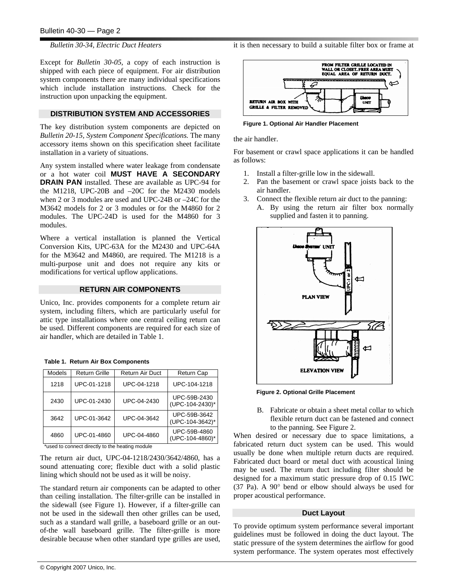*Bulletin 30-34, Electric Duct Heaters* 

Except for *Bulletin 30-05*, a copy of each instruction is shipped with each piece of equipment. For air distribution system components there are many individual specifications which include installation instructions. Check for the instruction upon unpacking the equipment.

# **DISTRIBUTION SYSTEM AND ACCESSORIES**

The key distribution system components are depicted on *Bulletin 20-15, System Component Specifications.* The many accessory items shown on this specification sheet facilitate installation in a variety of situations.

Any system installed where water leakage from condensate or a hot water coil **MUST HAVE A SECONDARY DRAIN PAN** installed. These are available as UPC-94 for the M1218, UPC-20B and –20C for the M2430 models when 2 or 3 modules are used and UPC-24B or –24C for the M3642 models for 2 or 3 modules or for the M4860 for 2 modules. The UPC-24D is used for the M4860 for 3 modules.

Where a vertical installation is planned the Vertical Conversion Kits, UPC-63A for the M2430 and UPC-64A for the M3642 and M4860, are required. The M1218 is a multi-purpose unit and does not require any kits or modifications for vertical upflow applications.

# **RETURN AIR COMPONENTS**

Unico, Inc. provides components for a complete return air system, including filters, which are particularly useful for attic type installations where one central ceiling return can be used. Different components are required for each size of air handler, which are detailed in Table 1.

| <b>Models</b> | <b>Return Grille</b> | <b>Return Air Duct</b> | <b>Return Cap</b>               |
|---------------|----------------------|------------------------|---------------------------------|
| 1218          | UPC-01-1218          | UPC-04-1218            | UPC-104-1218                    |
| 2430          | UPC-01-2430          | UPC-04-2430            | UPC-59B-2430<br>(UPC-104-2430)* |
| 3642          | UPC-01-3642          | UPC-04-3642            | UPC-59B-3642<br>(UPC-104-3642)* |
| 4860          | UPC-01-4860          | UPC-04-4860            | UPC-59B-4860<br>(UPC-104-4860)* |

**Table 1. Return Air Box Components** 

\*used to connect directly to the heating module

The return air duct, UPC-04-1218/2430/3642/4860, has a sound attenuating core; flexible duct with a solid plastic lining which should not be used as it will be noisy.

The standard return air components can be adapted to other than ceiling installation. The filter-grille can be installed in the sidewall (see Figure 1). However, if a filter-grille can not be used in the sidewall then other grilles can be used, such as a standard wall grille, a baseboard grille or an outof-the wall baseboard grille. The filter-grille is more desirable because when other standard type grilles are used, it is then necessary to build a suitable filter box or frame at



**Figure 1. Optional Air Handler Placement**

the air handler.

For basement or crawl space applications it can be handled as follows:

- 1. Install a filter-grille low in the sidewall.
- 2. Pan the basement or crawl space joists back to the air handler.
- 3. Connect the flexible return air duct to the panning:
	- A. By using the return air filter box normally supplied and fasten it to panning.



**Figure 2. Optional Grille Placement**

B. Fabricate or obtain a sheet metal collar to which flexible return duct can be fastened and connect to the panning. See Figure 2.

When desired or necessary due to space limitations, a fabricated return duct system can be used. This would usually be done when multiple return ducts are required. Fabricated duct board or metal duct with acoustical lining may be used. The return duct including filter should be designed for a maximum static pressure drop of 0.15 IWC (37 Pa). A 90° bend or elbow should always be used for proper acoustical performance.

#### **Duct Layout**

To provide optimum system performance several important guidelines must be followed in doing the duct layout. The static pressure of the system determines the airflow for good system performance. The system operates most effectively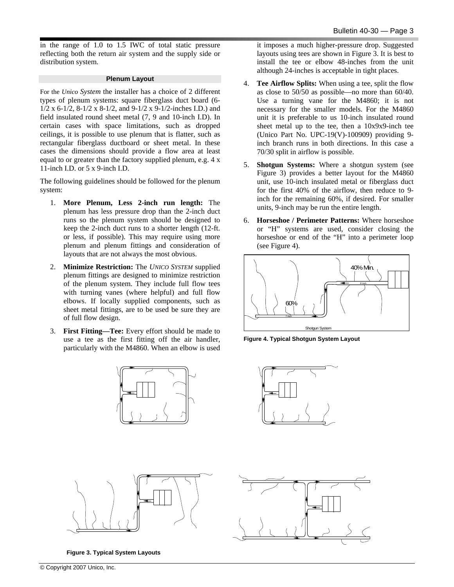in the range of 1.0 to 1.5 IWC of total static pressure reflecting both the return air system and the supply side or distribution system.

#### **Plenum Layout**

For the *Unico System* the installer has a choice of 2 different types of plenum systems: square fiberglass duct board (6- 1/2 x 6-1/2, 8-1/2 x 8-1/2, and 9-1/2 x 9-1/2-inches I.D.) and field insulated round sheet metal (7, 9 and 10-inch I.D). In certain cases with space limitations, such as dropped ceilings, it is possible to use plenum that is flatter, such as rectangular fiberglass ductboard or sheet metal. In these cases the dimensions should provide a flow area at least equal to or greater than the factory supplied plenum, e.g. 4 x 11-inch I.D. or 5 x 9-inch I.D.

The following guidelines should be followed for the plenum system:

- 1. **More Plenum, Less 2-inch run length:** The plenum has less pressure drop than the 2-inch duct runs so the plenum system should be designed to keep the 2-inch duct runs to a shorter length (12-ft. or less, if possible). This may require using more plenum and plenum fittings and consideration of layouts that are not always the most obvious.
- 2. **Minimize Restriction:** The *UNICO SYSTEM* supplied plenum fittings are designed to minimize restriction of the plenum system. They include full flow tees with turning vanes (where helpful) and full flow elbows. If locally supplied components, such as sheet metal fittings, are to be used be sure they are of full flow design.
- 3. **First Fitting—Tee:** Every effort should be made to use a tee as the first fitting off the air handler, particularly with the M4860. When an elbow is used





**Figure 3. Typical System Layouts**

it imposes a much higher-pressure drop. Suggested layouts using tees are shown in Figure 3. It is best to install the tee or elbow 48-inches from the unit although 24-inches is acceptable in tight places.

- 4. **Tee Airflow Splits:** When using a tee, split the flow as close to 50/50 as possible—no more than 60/40. Use a turning vane for the M4860; it is not necessary for the smaller models. For the M4860 unit it is preferable to us 10-inch insulated round sheet metal up to the tee, then a 10x9x9-inch tee (Unico Part No. UPC-19(V)-100909) providing 9 inch branch runs in both directions. In this case a 70/30 split in airflow is possible.
- 5. **Shotgun Systems:** Where a shotgun system (see Figure 3) provides a better layout for the M4860 unit, use 10-inch insulated metal or fiberglass duct for the first 40% of the airflow, then reduce to 9 inch for the remaining 60%, if desired. For smaller units, 9-inch may be run the entire length.
- 6. **Horseshoe / Perimeter Patterns:** Where horseshoe or "H" systems are used, consider closing the horseshoe or end of the "H" into a perimeter loop (see Figure 4).







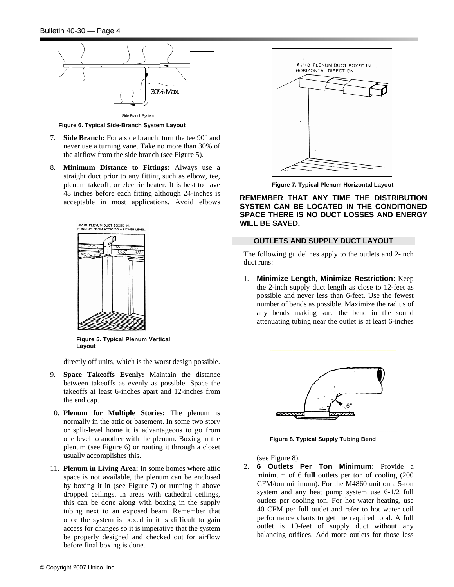

**Figure 6. Typical Side-Branch System Layout** 

- 7. **Side Branch:** For a side branch, turn the tee 90° and never use a turning vane. Take no more than 30% of the airflow from the side branch (see Figure 5).
- 8. **Minimum Distance to Fittings:** Always use a straight duct prior to any fitting such as elbow, tee, plenum takeoff, or electric heater. It is best to have 48 inches before each fitting although 24-inches is acceptable in most applications. Avoid elbows



**Figure 5. Typical Plenum Vertical Layout**

directly off units, which is the worst design possible.

- 9. **Space Takeoffs Evenly:** Maintain the distance between takeoffs as evenly as possible. Space the takeoffs at least 6-inches apart and 12-inches from the end cap.
- 10. **Plenum for Multiple Stories:** The plenum is normally in the attic or basement. In some two story or split-level home it is advantageous to go from one level to another with the plenum. Boxing in the plenum (see Figure 6) or routing it through a closet usually accomplishes this.
- 11. **Plenum in Living Area:** In some homes where attic space is not available, the plenum can be enclosed by boxing it in (see Figure 7) or running it above dropped ceilings. In areas with cathedral ceilings, this can be done along with boxing in the supply tubing next to an exposed beam. Remember that once the system is boxed in it is difficult to gain access for changes so it is imperative that the system be properly designed and checked out for airflow before final boxing is done.



**Figure 7. Typical Plenum Horizontal Layout** 

**REMEMBER THAT ANY TIME THE DISTRIBUTION SYSTEM CAN BE LOCATED IN THE CONDITIONED SPACE THERE IS NO DUCT LOSSES AND ENERGY WILL BE SAVED.** 

# **OUTLETS AND SUPPLY DUCT LAYOUT**

The following guidelines apply to the outlets and 2-inch duct runs:

1. **Minimize Length, Minimize Restriction:** Keep the 2-inch supply duct length as close to 12-feet as possible and never less than 6-feet. Use the fewest number of bends as possible. Maximize the radius of any bends making sure the bend in the sound attenuating tubing near the outlet is at least 6-inches



**Figure 8. Typical Supply Tubing Bend**

(see Figure 8).

2. **6 Outlets Per Ton Minimum:** Provide a minimum of 6 **full** outlets per ton of cooling (200 CFM/ton minimum). For the M4860 unit on a 5-ton system and any heat pump system use 6-1/2 full outlets per cooling ton. For hot water heating, use 40 CFM per full outlet and refer to hot water coil performance charts to get the required total. A full outlet is 10-feet of supply duct without any balancing orifices. Add more outlets for those less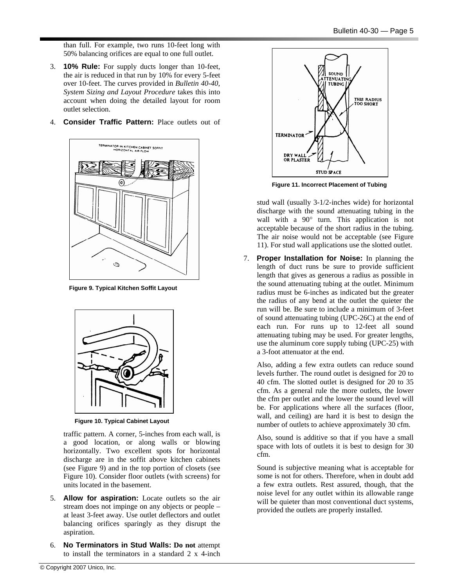than full. For example, two runs 10-feet long with 50% balancing orifices are equal to one full outlet.

- 3. **10% Rule:** For supply ducts longer than 10-feet, the air is reduced in that run by 10% for every 5-feet over 10-feet. The curves provided in *Bulletin 40-40*, *System Sizing and Layout Procedure* takes this into account when doing the detailed layout for room outlet selection.
- 4. **Consider Traffic Pattern:** Place outlets out of



**Figure 9. Typical Kitchen Soffit Layout**



**Figure 10. Typical Cabinet Layout**

traffic pattern. A corner, 5-inches from each wall, is a good location, or along walls or blowing horizontally. Two excellent spots for horizontal discharge are in the soffit above kitchen cabinets (see Figure 9) and in the top portion of closets (see Figure 10). Consider floor outlets (with screens) for units located in the basement.

- 5. **Allow for aspiration:** Locate outlets so the air stream does not impinge on any objects or people – at least 3-feet away. Use outlet deflectors and outlet balancing orifices sparingly as they disrupt the aspiration.
- 6. **No Terminators in Stud Walls: Do not** attempt to install the terminators in a standard 2 x 4-inch



**Figure 11. Incorrect Placement of Tubing**

stud wall (usually 3-1/2-inches wide) for horizontal discharge with the sound attenuating tubing in the wall with a 90° turn. This application is not acceptable because of the short radius in the tubing. The air noise would not be acceptable (see Figure 11). For stud wall applications use the slotted outlet.

7. **Proper Installation for Noise:** In planning the length of duct runs be sure to provide sufficient length that gives as generous a radius as possible in the sound attenuating tubing at the outlet. Minimum radius must be 6-inches as indicated but the greater the radius of any bend at the outlet the quieter the run will be. Be sure to include a minimum of 3-feet of sound attenuating tubing (UPC-26C) at the end of each run. For runs up to 12-feet all sound attenuating tubing may be used. For greater lengths, use the aluminum core supply tubing (UPC-25) with a 3-foot attenuator at the end.

Also, adding a few extra outlets can reduce sound levels further. The round outlet is designed for 20 to 40 cfm. The slotted outlet is designed for 20 to 35 cfm. As a general rule the more outlets, the lower the cfm per outlet and the lower the sound level will be. For applications where all the surfaces (floor, wall, and ceiling) are hard it is best to design the number of outlets to achieve approximately 30 cfm.

Also, sound is additive so that if you have a small space with lots of outlets it is best to design for 30 cfm.

Sound is subjective meaning what is acceptable for some is not for others. Therefore, when in doubt add a few extra outlets. Rest assured, though, that the noise level for any outlet within its allowable range will be quieter than most conventional duct systems, provided the outlets are properly installed.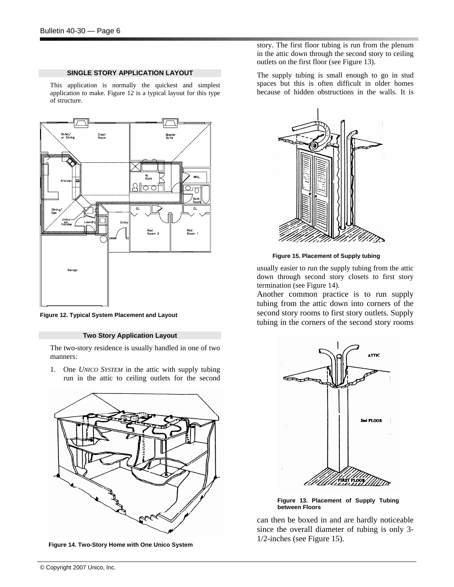#### **SINGLE STORY APPLICATION LAYOUT**

This application is normally the quickest and simplest application to make. Figure 12 is a typical layout for this type of structure.



**Figure 12. Typical System Placement and Layout**

#### **Two Story Application Layout**

The two-story residence is usually handled in one of two manners:

1. One *UNICO SYSTEM* in the attic with supply tubing run in the attic to ceiling outlets for the second



**Figure 14. Two-Story Home with One Unico System**

story. The first floor tubing is run from the plenum in the attic down through the second story to ceiling outlets on the first floor (see Figure 13).

The supply tubing is small enough to go in stud spaces but this is often difficult in older homes because of hidden obstructions in the walls. It is



**Figure 15. Placement of Supply tubing**

usually easier to run the supply tubing from the attic down through second story closets to first story termination (see Figure 14).

Another common practice is to run supply tubing from the attic down into corners of the second story rooms to first story outlets. Supply tubing in the corners of the second story rooms



**Figure 13. Placement of Supply Tubing between Floors**

can then be boxed in and are hardly noticeable since the overall diameter of tubing is only 3- 1/2-inches (see Figure 15).